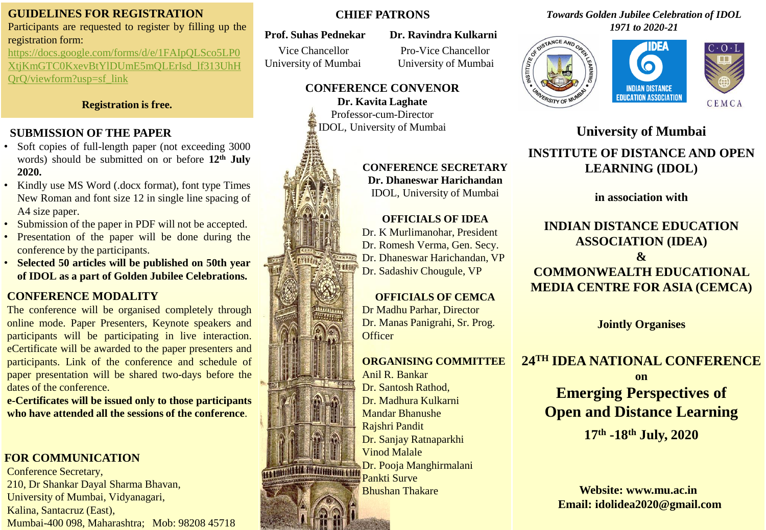# **GUIDELINES FOR REGISTRATION**

Participants are requested to register by filling up the registration form:

https://docs.google.com/forms/d/e/1FAIpQLSco5LP0 [XtjKmGTC0KxevBtYlDUmE5mQLErIsd\\_lf313UhH](https://docs.google.com/forms/d/e/1FAIpQLSco5LP0XtjKmGTC0KxevBtYlDUmE5mQLErIsd_lf313UhHQrQ/viewform?usp=sf_link) QrQ/viewform?usp=sf\_link

#### **Registration is free.**

# **SUBMISSION OF THE PAPER**

- Soft copies of full-length paper (not exceeding 3000) words) should be submitted on or before **12th July 2020.**
- Kindly use MS Word (.docx format), font type Times New Roman and font size 12 in single line spacing of A4 size paper.
- Submission of the paper in PDF will not be accepted.
- Presentation of the paper will be done during the conference by the participants.
- **Selected 50 articles will be published on 50th year of IDOL as a part of Golden Jubilee Celebrations.**

# **CONFERENCE MODALITY**

The conference will be organised completely through online mode. Paper Presenters, Keynote speakers and participants will be participating in live interaction. eCertificate will be awarded to the paper presenters and participants. Link of the conference and schedule of paper presentation will be shared two-days before the dates of the conference.

**e-Certificates will be issued only to those participants who have attended all the sessions of the conference**.

# **FOR COMMUNICATION**

Conference Secretary, 210, Dr Shankar Dayal Sharma Bhavan, University of Mumbai, Vidyanagari, Kalina, Santacruz (East), Mumbai-400 098, Maharashtra; Mob: 98208 45718

## **CHIEF PATRONS**

#### **Prof. Suhas Pednekar Dr. Ravindra Kulkarni**

# Vice Chancellor Pro-Vice Chancellor

University of Mumbai University of Mumbai

#### **CONFERENCE CONVENOR Dr. Kavita Laghate**

Professor-cum-Director IDOL, University of Mumbai

### **CONFERENCE SECRETARY Dr. Dhaneswar Harichandan** IDOL, University of Mumbai

## **OFFICIALS OF IDEA**

Dr. K Murlimanohar, President Dr. Romesh Verma, Gen. Secy. Dr. Dhaneswar Harichandan, VP Dr. Sadashiv Chougule, VP

# **OFFICIALS OF CEMCA**

Dr Madhu Parhar, Director Dr. Manas Panigrahi, Sr. Prog. **Officer** 

### **ORGANISING COMMITTEE**

Anil R. Bankar Dr. Santosh Rathod, Dr. Madhura Kulkarni Mandar Bhanushe Rajshri Pandit Dr. Sanjay Ratnaparkhi Vinod Malale Dr. Pooja Manghirmalani Pankti Surve Bhushan Thakare

#### *Towards Golden Jubilee Celebration of IDOL 1971 to 2020-21*





# **University of Mumbai INSTITUTE OF DISTANCE AND OPEN LEARNING (IDOL)**

**in association with** 

# **INDIAN DISTANCE EDUCATION ASSOCIATION (IDEA) & COMMONWEALTH EDUCATIONAL MEDIA CENTRE FOR ASIA (CEMCA)**

# **Jointly Organises**

# **24TH IDEA NATIONAL CONFERENCE**

**on Emerging Perspectives of Open and Distance Learning**

**17th -18th July, 2020**

**Website: www.mu.ac.in Email: idolidea2020@gmail.com**